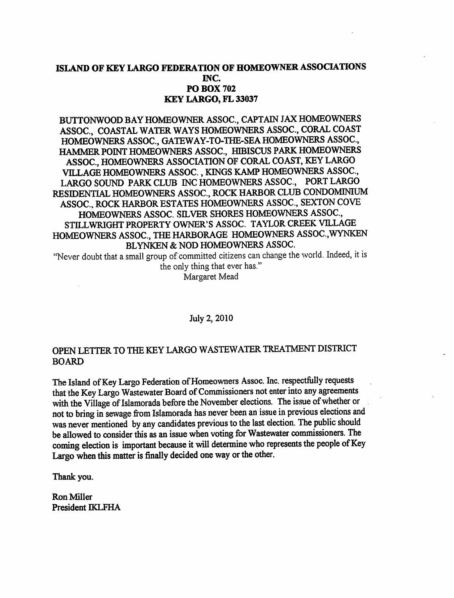#### *ISLAND OF KEY LARGO FEDERATION OF HOMEOWNER ASSOCIATIONS INC. PO BOX 702 KEY LARGO, FL 33037*

BUTTONWOOD BAYHOMEOWNER ASSOC, CAPTAIN JAXHOMEOWNERS ASSOC, COASTAL WATER WAYS HOMEOWNERS ASSOC, CORAL COAST HOMEOWNERS ASSOC, GATEWAY-TO-THE-SEA HOMEOWNERS ASSOC, HAMMER POINT HOMEOWNERS ASSOC., HIBISCUS PARK HOMEOWNERS ASSOC, HOMEOWNERS ASSOCIATION OF CORAL COAST, KEY LARGO VILLAGE HOMEOWNERS ASSOC.,KINGS KAMP HOMEOWNERS ASSOC, LARGO SOUND PARK CLUB INC HOMEOWNERS ASSOC., PORT LARGO RESIDENTIAL HOMEOWNERS ASSOC., ROCK HARBOR CLUB CONDOMINIUM ASSOC, ROCK HARBOR ESTATES HOMEOWNERS ASSOC, SEXTON COVE HOMEOWNERS ASSOC. SILVER SHORES HOMEOWNERS ASSOC., STILLWRIGHT PROPERTY OWNER'S ASSOC. TAYLOR CREEK VILLAGE HOMEOWNERS ASSOC, THE HARBORAGE HOMEOWNERS ASSOC,WYNKEN BLYNKEN & NOD HOMEOWNERS ASSOC

"Never doubt that a small group of committed citizens can change the world. Indeed, it is the only thing that ever has." Margaret Mead

#### July 2, 2010

#### OPEN LETTER TO THE KEY LARGO WASTEWATER TREATMENT DISTRICT BOARD

The Island of Key Largo Federation of Homeowners Assoc. Inc. respectfully requests that the Key Largo Wastewater Board of Commissioners not enter into any agreements with the Village of Islamorada before the November elections. The issue of whether or not tobring in sewage from Islamorada has never been an issue in previous elections and was never mentioned by any candidates previous to the last election. The public should be allowed to consider this as an issue when voting for Wastewater commissioners. The coming election is important because it will determine who represents the people of Key Largo when this matter is finally decided one way or the other.

Thank you.

Ron Miller President KLFHA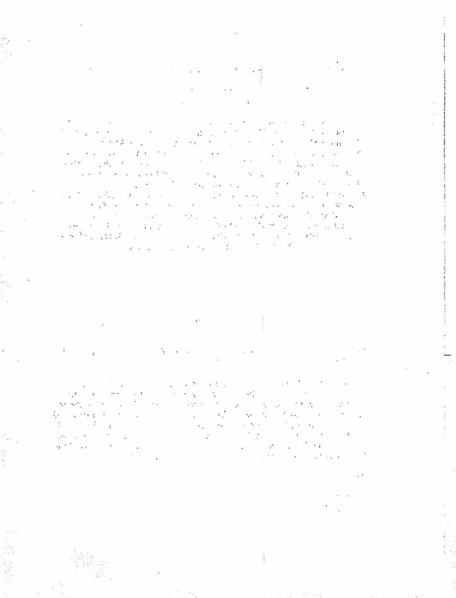

 $\label{eq:3.1} \Psi_{\alpha\beta} = \frac{1}{2} \sum_{\alpha\beta} \left[ \frac{1}{2} \left( \frac{1}{2} \sum_{\alpha\beta} \frac{1}{2} \left( \frac{1}{2} \sum_{\alpha\beta} \frac{1}{2} \right) \right) \left( \frac{1}{2} \sum_{\alpha\beta} \frac{1}{2} \left( \frac{1}{2} \sum_{\alpha\beta} \frac{1}{2} \right) \right) \right] \, .$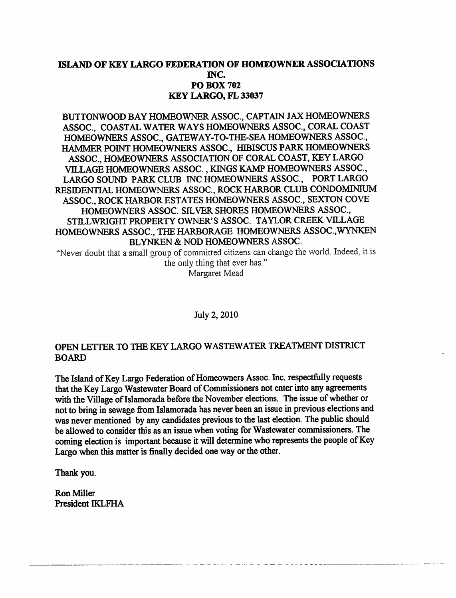#### *ISLAND OF KEY LARGO FEDERATION OF HOMEOWNER ASSOCIATIONS INC. PO BOX 702 KEY LARGO, FL 33037*

BUTTONWOOD BAY HOMEOWNER ASSOC, CAPTAIN JAX HOMEOWNERS ASSOC, COASTAL WATER WAYS HOMEOWNERS ASSOC, CORAL COAST HOMEOWNERS ASSOC, GATEWAY-TO-THE-SEA HOMEOWNERS ASSOC, HAMMER POINT HOMEOWNERS ASSOC, HIBISCUS PARK HOMEOWNERS ASSOC., HOMEOWNERS ASSOCIATION OF CORAL COAST, KEY LARGO VILLAGE HOMEOWNERS ASSOC., KINGS KAMP HOMEOWNERS ASSOC., LARGO SOUND PARK CLUB INC HOMEOWNERS ASSOC, PORT LARGO RESIDENTIAL HOMEOWNERS ASSOC., ROCK HARBOR CLUB CONDOMINIUM ASSOC, ROCK HARBORESTATES HOMEOWNERS ASSOC, SEXTON COVE HOMEOWNERS ASSOC. SILVER SHORES HOMEOWNERS ASSOC, STILLWRIGHT PROPERTY OWNER'S ASSOC. TAYLOR CREEK VILLAGE HOMEOWNERS ASSOC., THE HARBORAGE HOMEOWNERS ASSOC., WYNKEN BLYNKEN & NOD HOMEOWNERS ASSOC

"Never doubt that a small group of committed citizens can change theworld. Indeed, it is the only thing that ever has."

Margaret Mead

#### July 2, 2010

#### OPEN LETTER TO THE KEY LARGO WASTEWATER TREATMENT DISTRICT BOARD

The Island of Key Largo Federation of Homeowners Assoc. Inc. respectfully requests that the Key Largo Wastewater Board of Commissioners not enter into any agreements with the Village of Islamorada before the November elections. The issue of whether or not to bring in sewage from Islamorada has never been an issue in previous elections and was never mentioned by any candidates previous to the last election. The public should be allowed to consider this as an issue when voting for Wastewater commissioners. The coming election is important because it will determine who represents the people of Key Largo when this matter is finally decided one way or the other.

Thank you.

Ron Miller President IKLFHA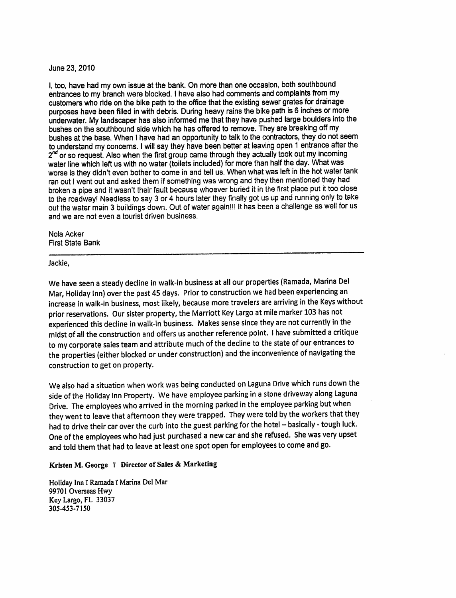#### *June 23, 2010*

*I, too, have had my own issue at the bank. On more than one occasion, both southbound entrancesto my branch were blocked. I have also had comments andcomplaints from my customerswho ride on the bike path to the officethat the existing sewergratesfor drainage purposes havebeen filled in with debris. During heavyrains the bike path is6 inches ormore underwater. My landscaper hasalso informed me that theyhave pushed large boulders into the bushes on the southbound side which he has offered to remove. They are breaking off my bushes at the base. When Ihave had an opportunity to talkto the contractors, they do notseem tounderstand myconcerns. Iwill say they have been better atleaving open 1entrance after the 2nd or so request. Also when the first group came through they actually took out myincoming water line which left us with nowater(toilets included) for more than half the day. Whatwas* worse is they didn't even bother to come in and tell us. When what was left in the hot water tank *ran* out I went out and asked them if something was wrong and they then mentioned they had broken a pipe and it wasn't their fault because whoever buried it in the first place put it too close *tothe roadway! Needless to say3 or 4 hours later they finally got usup and running only totake* out the water main 3 buildings down. Out of water again!!! It has been a challenge as well for us *and we are not even a tourist driven business.*

*Nola Acker First State Bank*

*Jackie,*

*We have seen asteady decline in walk-in business atall our properties (Ramada, Marina Del Mar, Holiday Inn) overthe past 45days. Prior to construction we had been experiencing an increase in walk-in business, most likely, because more travelers are arriving in the Keys without prior reservations. Our sister property, the Marriott Key Largo atmile marker 103 has not experienced this decline in walk-in business. Makes sense since they are not currently in the midstof all the construction and offers us anotherreference point Ihave submitted a critique tomy corporate sales team and attribute much ofthe decline tothe state ofour entrances to the properties (either blocked or under construction) and the inconvenience ofnavigating the construction to get on property.*

*We also had asituation when work wasbeing conducted on Laguna Drive which runs down the side ofthe Holiday Inn Property. We have employee parking in astone driveway along Laguna Drive. The employees who arrived in the morning parked in the employee parking but when they went to leave that afternoon they were trapped. They were told by the workers that they had to drive theircar overthe curb into the guest parking for the hotel - basically -tough luck. One ofthe employees who had just purchased anew car and she refused. She was very upset and toldthem that had to leave at leastone spot open for employees to come and go.*

#### *Kristen M.George T Director of Sales & Marketing*

*Holiday InnTRamada TMarina Del Mar 99701 Overseas Hwy Key Largo, FL 33037 305-453-7150*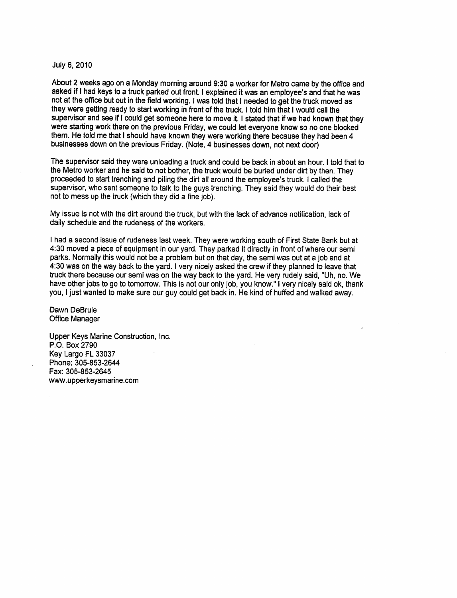#### *July 6, 2010*

*About2 weeks agoon a Monday morning around 9:30 a worker for Metro came bythe office and asked ifIhadkeys to a truck parked out front. Iexplained itwas an employee's andthathe was notat the office butoutin the field working. Iwastold thatI needed to get the truck moved as they were getting ready to startworking in front of the truck. Itold him that Iwould call the supervisor andsee ifIcould get someone hereto move it. Istated thatifwe had known thatthey were starting work there on the previous Friday, we could let everyone know so no one blocked them. He told me that I should have known they were working there because they had been 4 businesses down on the previous Friday. (Note, 4 businesses down, not next door)*

*The supervisor said they were unloading a truck and could be back in about an hour. Itold that to the Metro worker and he said to not bother, the truckwould be buried underdirt by then. They proceeded to starttrenching and piling the dirt all around the employee's truck. Icalled the supervisor, who sent someone to talk to the guys trenching. They said they would do their best not to mess up the truck (which they did a fine job).*

*My issue is not with the dirt around the truck, but with the lack of advance notification, iack of daily schedule and the rudeness of the workers.*

*I had a second issue of rudeness last week. They were working south of First State Bank but at 4:30 moved a piece of equipment in our yard. They parked it directly in front of where our semi parks. Normally this would not be a problem but on that day, the semi was out at a job and at 4:30 was on the way back to the yard. I very nicely asked the crew if they planned to leave that truck there because our semi was on the way back to the yard. He very rudely said, "Uh, no. We have other jobs to go to tomorrow. This is not our only job, you know." I very nicely said ok, thank you, Ijust wanted to make sure our guy could get back in. He kind of huffed and walked away.*

*Dawn DeBrule Office Manager*

*Upper Keys Marine Construction, Inc. P.O. Box 2790 Key Largo FL 33037 Phone: 305-853-2644 Fax: 305-853-2645 www.upperkeysmarine.com*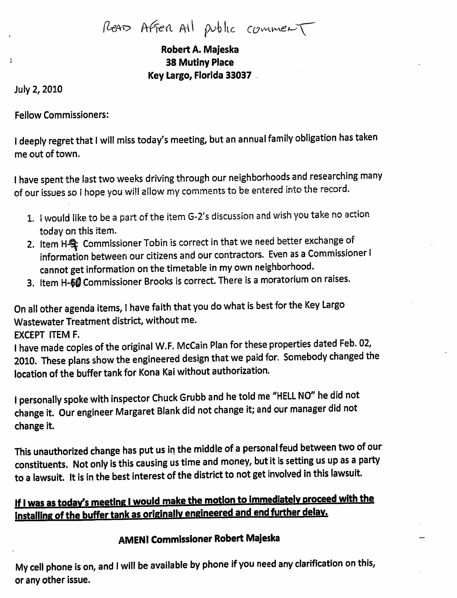/Z#\*o **f\{\*\€&** All p^ltc **cami^e\*-^**

### *Robert A. Majeska 38 Mutiny Place Key Largo, Florida 33037*

July 2,2010

 $\mathbf{r}$ 

Fellow Commissioners:

Ideeply regret that Iwill miss today's meeting, but an annual family obligation has taken me out of town.

Ihave spent the last two weeks driving through our neighborhoods and researching many of our issues so Ihope you will allow my comments to be entered into the record.

- 1. Iwould like to be a part ofthe item G-2's discussion and wish you take no action today on this item.
- 2. Item H- Commissioner Tobin is correct in that we need better exchange of information between our citizens and our contractors. Even as a Commissioner I cannot get information on the timetable in my own neighborhood.
- 3. Item *H-f6* Commissioner Brooks is correct. There is amoratorium on raises.

*On all other agenda* items, I*have* faith *that* you *do* what is best *for* the Key *Largo Wastewater Treatment* district, without me.

*EXCEPT ITEM F.*

*Ihave made copies ofthe original W.F. McCain Plan for these properties dated Feb. 02, 2010. These plans show the engineered design that we paid for. Somebody changed the location of the buffertank for Kona Kai withoutauthorization.*

*Ipersonally spoke with inspector Chuck Grubb and he told me "HELL NO" he did not change it. Our engineer Margaret Blank did not change it; and our manager did not change it.*

*This unauthorized change has put us in the middle of apersonal feud between two of our constituents. Not only is this causing us time and money, but it is setting us up as aparty to alawsuit. It is in the best interest ofthe district to not get involved in this lawsuit.*

# *If Iwas astoday's meeting Iwouid make the motion to immediately proceed with the* **installing of the buffer tank as originally engineered and end further delay.**

## *AMEN! Commissioner Robert Majeska*

*My cell phone is on, and Iwill be available by phone if you need any clarification on this, or any other issue.*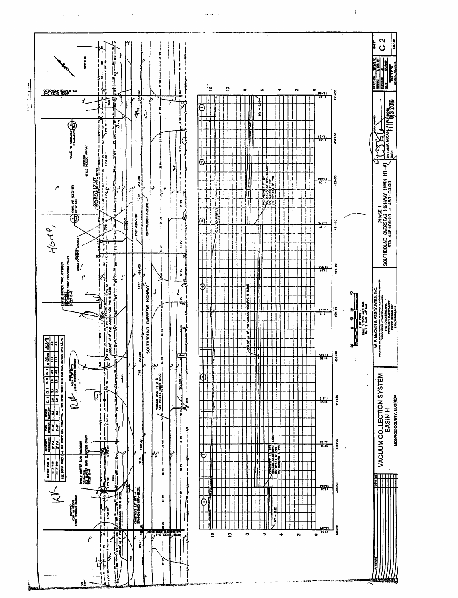

 $\frac{1}{2}$ 

 $\bar{z}$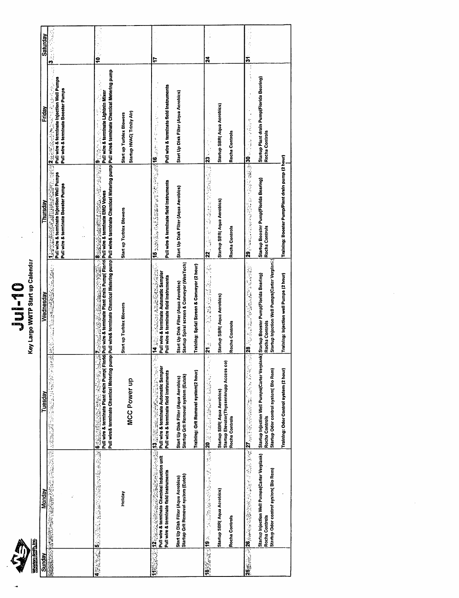

# $\begin{array}{c}\n\bigcup_{\text{Larg}}\bigcup_{\text{MMT}}\bigcap_{\text{Start up Calemder}}\n\end{array}$

 $\ddot{\phantom{a}}$ 

| <b>Saturday</b> |                                                                                                                   | $\frac{1}{2}$<br>ķ<br>$\frac{1}{2}$                                                                                                                                                                         |                                                                                                                                                                                                                                                                                           |                                                                                                                  | 经经济经济<br><u>रुं</u>                                                                                                                                                                                                  |
|-----------------|-------------------------------------------------------------------------------------------------------------------|-------------------------------------------------------------------------------------------------------------------------------------------------------------------------------------------------------------|-------------------------------------------------------------------------------------------------------------------------------------------------------------------------------------------------------------------------------------------------------------------------------------------|------------------------------------------------------------------------------------------------------------------|----------------------------------------------------------------------------------------------------------------------------------------------------------------------------------------------------------------------|
| Friday          | Puil wire & terminate injection Well Pumps<br>Puil wire & terminate Booster Pumps<br>2 全国经济经济发展                   | Pull wire & terminate Lightnin Mixer<br>Startup HVAC( Trinity Air)<br>Start up Turblex Blowers                                                                                                              | Ħ<br>Puil wire & terminate field instruments<br>Start Up Disk Filter (Aqua Acrobics)                                                                                                                                                                                                      | 24<br>Startup SBR(Aqua Acrobics)<br>Rocha Controls<br><u>।</u><br> 23                                            | $-1 + 1 + 1 = 0$<br>Startup Plant drain Pump(Florida Bearing)<br>$\frac{1}{2}$<br>$\ddot{\cdot}$<br>Rocha Controls                                                                                                   |
| Thursday        | 1. 法法律法律法律的法律法律法律 医主动脉<br>Pull wire & terminate injection Well Pumps<br>Puil wire & terminate Booster Pumps<br>Y, | Pull wire& terminate Chemical Metering pump Pull wire& terminato Chemical Metering pump Pull wire& terminate Qhemical Metering pump Pull wire& terminate Chemical Metering pump<br>Start up Turblex Blowers | Puil wire & terminate field instruments<br>Start Up Disk Filter (Aqua Aerobics)                                                                                                                                                                                                           | (特別認識) 意外 医血管综合征 化电阻 四、<br>Startup SBR(Aqua Aerobics)<br>Rocha Controls                                          | ○ 中心的 中心的 1000 mg ( 1000 mg ) 1000 g ( 1000 g ) 1000 g ( 1000 g ) 1000 g ( 1000 g ) 1000 g ( 1000 g )<br>Training: Booster Pump/Plant drain pump (2 hour)<br>Startup Booster Pump(Florida Bearing)<br>Rocha Controls |
| Wednesday       | ○ 東海道の 通過電話 通信 はってい だんこう                                                                                          | Start up Turblex Blowers                                                                                                                                                                                    | 大家の後の「現在の場所のある」というのです。<br>Startup Spiral screen & Conveyor (WesTech)<br>Training: Sprial Screen & Conveyor (2 hour)<br>Puil wire & terminate Automatic Sampler<br>Puil wire & terminate field instruments<br>Start Up Disk Filter (Aqua Acrobics)<br><u>। १४ ुरु </u>                     | 語り当時間的記憶反反反之の 再N<br>Startup SBRI Aqua Aerobics)<br>Rocha Controls                                                | Startup Injection Well Pumps(Carter Verplan):<br><b>一般的情况解情感的问题的问题</b><br>Training: Injection well Pumps (2 hour)<br>Rocha Controls                                                                                  |
| Tuesday         |                                                                                                                   | Pull wire & terminate Plant drain Pump( Fiorid Pull wire & terminate Plant drain Pump( Fiorid Pull wire & terminate EMO Valves<br>MCC Power up                                                              | Pull wire & terminate Automatic Sampler<br>Training: Grit Romoval system(2 hour)<br>Pull wire & terminate field instruments<br>Startup Grit Removal system (Eutek)<br>Start Up Disk Filter (Aqua Aerobics)                                                                                | $\boldsymbol{\beta}$<br>Startup Elevator(Thyssenkrupp Access co)<br>Startup SBR(Aqua Aerobics)<br>Rocha Controls | Startup Injection Well Pumps(Carter Verplank) Startup Booster PumpiFlorida Bearing)<br>Training: Odor Control system (2 hour)<br>Startup Odor control system(Bio Rem)<br>Rocha Controls                              |
| Monday          |                                                                                                                   | Holiday                                                                                                                                                                                                     | 2020年の第1992年に、2020年の第1992年に、2020年に、2020年に、2020年に、2020年に、2020年に、2020年に、2020年に、2020年に、2020年に、2020年に、2020年に、2020年<br>Pull wire & terminate Chemical Induction unit<br>Pull wire & terminate field instruments<br>Startup Grit Removal system (Eutek)<br>Start Up Disk Filter (Aqua Aerobles) | 了,我们的一个人的人们的人们的人们的人们的人们的人们的人们的人们的人们的人们的人们的人们的<br>Startup SBR(Aqua Acrobics)<br>Rocha Controls                    | 「「これは、そのこまに、「また、「また、「また、「また、「また、」「また、「また、「また、」「また、「また、「また、「また、「また、「また、」「また、「また、「また、「また、「また、「また、「また、「<br>Startup Injection Well Pumps(Carter Verplank)<br>Startup Odor control system Bio Rem)<br>Rocha Controls      |
| Sunday          |                                                                                                                   |                                                                                                                                                                                                             | Ë,                                                                                                                                                                                                                                                                                        |                                                                                                                  |                                                                                                                                                                                                                      |

 $\frac{1}{\sqrt{2}}$ 

 $\hat{\mathcal{L}}$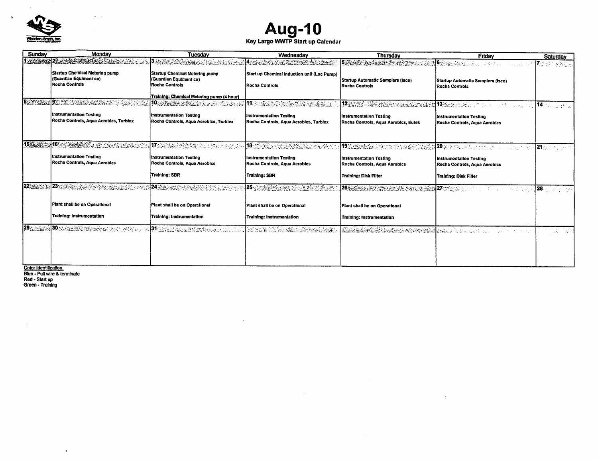

 $\vec{\bullet}$ 

 $\sim 10^{-1}$  k

 $\sim$ 

# *Aug-10*

 $\bar{a}$ 

*Key Largo WWTP Start up Calendar*

| Sunday               | Monday                                                                     | <b>Tuesday</b>                                                                                                                                                                                                                 | Wednesday                                                         | Thursday                                                                                                                                                                                                                             | Fridav                                                                                                                | <b>Saturday</b>                    |
|----------------------|----------------------------------------------------------------------------|--------------------------------------------------------------------------------------------------------------------------------------------------------------------------------------------------------------------------------|-------------------------------------------------------------------|--------------------------------------------------------------------------------------------------------------------------------------------------------------------------------------------------------------------------------------|-----------------------------------------------------------------------------------------------------------------------|------------------------------------|
|                      | 1823342 33345556888888888888                                               | 3 André de la completa de la completa de la completa de la completa de la completa de la completa de la completa de la completa de la completa de la completa de la completa de la completa de la completa de la completa de l |                                                                   | <b>5. Paul André de la Regnancia de la Companya de la Propie de la Propie de la Propie de la Propie de la Propie de la Propie de la Propie de la Propie de la Propie de la Propie de la Propie de la Propie de la Propie de la P</b> | 1. September <mark>7</mark> . 2009年<br>(本来) 未完成                                                                       | $\mathbb{R}^n$ is $\mathbb{Z}$ and |
|                      | Startup Chemical Metering pump<br>(Guardian Equiment co)<br>Rocha Controls | Startup Chemical Metering pump<br>(Guardian Equiment co)<br><b>Rocha Controls</b>                                                                                                                                              | Start up Chemical Induction unit (Loc Pump)                       | Startup Automatic Samplers (Isco)                                                                                                                                                                                                    | Startup Automatic Samplers (Isco)<br>Rocha Controls                                                                   |                                    |
|                      |                                                                            |                                                                                                                                                                                                                                | Rocha Controls                                                    | Rocha Controls                                                                                                                                                                                                                       |                                                                                                                       |                                    |
|                      |                                                                            | Training: Chemical Metering pump (4 hour)                                                                                                                                                                                      |                                                                   |                                                                                                                                                                                                                                      |                                                                                                                       |                                    |
|                      | 825 Che 19 - 20 November 20 19 19 19 19 19 19 19                           | 10 Serie Kinsteller Stern Technology                                                                                                                                                                                           | 11. Alban Karatan                                                 | 12 November 2020 2020 13 November 2021                                                                                                                                                                                               | anta se constitu                                                                                                      | $ 14\rangle$ and $ 14\rangle$      |
|                      | Instrumentation Testing<br>Rocha Controls, Aqua Aerobics, Turblex          | Instrumentation Testing<br>Rocha Controls, Aqua Aerobics, Turblex                                                                                                                                                              | Instrumentation Testing<br>Rocha Controls, Aqua Aerobics, Turblex | Instrumentation Testing<br>Rocha Controls, Aqua Aerobics, Eutek                                                                                                                                                                      | <b>Instrumentation Testing</b><br>Rocha Controls, Aqua Aerobics                                                       |                                    |
|                      |                                                                            |                                                                                                                                                                                                                                |                                                                   |                                                                                                                                                                                                                                      |                                                                                                                       |                                    |
|                      | 15 200 16 - 22 200 11 10 12 200 10                                         | 17:00:00:00:00:00:00:00:00                                                                                                                                                                                                     | 18. 2006. - NGC 1982. NGC 1982.                                   |                                                                                                                                                                                                                                      | 19 Marshall Market Land 20 March 20 March 20 March 20 March 20 March 20 March 20 March 20 March 20 March 20 Ma        | $\begin{bmatrix} 21 \end{bmatrix}$ |
|                      | Instrumentation Testing<br>Rocha Controls, Aqua Aerobics                   | Instrumentation Testing<br>Rocha Controls, Aqua Aerobics                                                                                                                                                                       | Instrumentation Testing<br>Rocha Controls, Aqua Aerobics          | Instrumentation Tosting<br>Rocha Controls, Agua Aerobics                                                                                                                                                                             | <b>Instrumentation Testing</b><br>Rocha Controls, Aqua Acrobics                                                       |                                    |
|                      |                                                                            | <b>Training: SBR</b>                                                                                                                                                                                                           | <b>Training: SBR</b>                                              | <b>Training: Disk Filter</b>                                                                                                                                                                                                         | Training: Disk Filter                                                                                                 |                                    |
|                      | 22 20 23 23 24 25 26 27 28 29 20 20 20 20                                  | 24 22 22 32 32                                                                                                                                                                                                                 |                                                                   |                                                                                                                                                                                                                                      | $\mathcal{H}^{\mathcal{G}}$ , $\mathcal{H}^{\mathcal{G}}$ , $\mathcal{H}^{\mathcal{G}}$ , $\mathcal{H}^{\mathcal{G}}$ | $\sqrt{28}$                        |
|                      | Plant shall be on Operational                                              | Plant shall be on Operational                                                                                                                                                                                                  | Plant shall be on Operational                                     | Plant shall be on Operational                                                                                                                                                                                                        |                                                                                                                       |                                    |
|                      | <b>Training: Instrumentation</b>                                           | Training: Instrumentation                                                                                                                                                                                                      | <b>Training: Instrumentation</b>                                  | Training: Instrumentation                                                                                                                                                                                                            |                                                                                                                       |                                    |
|                      | 29 No. 20 Microsoft Market Mr. 2014                                        | 312 Standard Harnes Article                                                                                                                                                                                                    | STORY WAS THE REPORT OF THE PARTY.                                | STRAIGHT AND THURSDAY IN THE TELL TO THE TELL                                                                                                                                                                                        |                                                                                                                       | 安全部                                |
|                      |                                                                            |                                                                                                                                                                                                                                |                                                                   |                                                                                                                                                                                                                                      |                                                                                                                       |                                    |
|                      |                                                                            |                                                                                                                                                                                                                                |                                                                   |                                                                                                                                                                                                                                      |                                                                                                                       |                                    |
| Color Identification |                                                                            |                                                                                                                                                                                                                                |                                                                   |                                                                                                                                                                                                                                      |                                                                                                                       |                                    |

 $\sim 100$ 

 $\sim 100$  km s  $^{-1}$ 

 $\sim 10^{-1}$ 

 $\sim$   $\sim$ 

Blue - Pull wire & terminate Red • Start up Green - Training

 $\sim 10$ 

 $\sim$